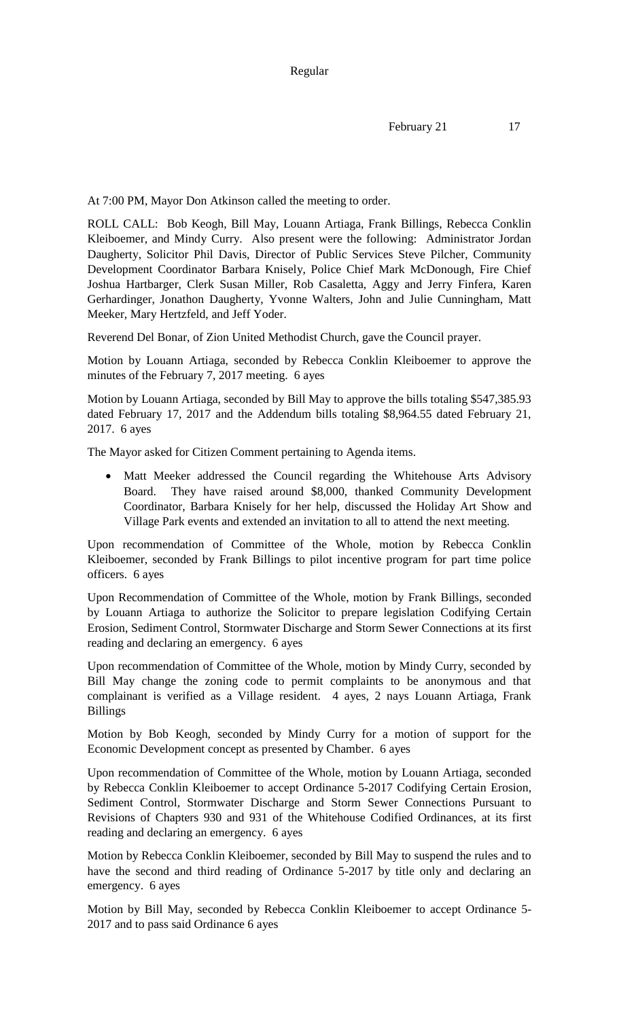At 7:00 PM, Mayor Don Atkinson called the meeting to order.

ROLL CALL: Bob Keogh, Bill May, Louann Artiaga, Frank Billings, Rebecca Conklin Kleiboemer, and Mindy Curry. Also present were the following: Administrator Jordan Daugherty, Solicitor Phil Davis, Director of Public Services Steve Pilcher, Community Development Coordinator Barbara Knisely, Police Chief Mark McDonough, Fire Chief Joshua Hartbarger, Clerk Susan Miller, Rob Casaletta, Aggy and Jerry Finfera, Karen Gerhardinger, Jonathon Daugherty, Yvonne Walters, John and Julie Cunningham, Matt Meeker, Mary Hertzfeld, and Jeff Yoder.

Reverend Del Bonar, of Zion United Methodist Church, gave the Council prayer.

Motion by Louann Artiaga, seconded by Rebecca Conklin Kleiboemer to approve the minutes of the February 7, 2017 meeting. 6 ayes

Motion by Louann Artiaga, seconded by Bill May to approve the bills totaling \$547,385.93 dated February 17, 2017 and the Addendum bills totaling \$8,964.55 dated February 21, 2017. 6 ayes

The Mayor asked for Citizen Comment pertaining to Agenda items.

 Matt Meeker addressed the Council regarding the Whitehouse Arts Advisory Board. They have raised around \$8,000, thanked Community Development Coordinator, Barbara Knisely for her help, discussed the Holiday Art Show and Village Park events and extended an invitation to all to attend the next meeting.

Upon recommendation of Committee of the Whole, motion by Rebecca Conklin Kleiboemer, seconded by Frank Billings to pilot incentive program for part time police officers. 6 ayes

Upon Recommendation of Committee of the Whole, motion by Frank Billings, seconded by Louann Artiaga to authorize the Solicitor to prepare legislation Codifying Certain Erosion, Sediment Control, Stormwater Discharge and Storm Sewer Connections at its first reading and declaring an emergency. 6 ayes

Upon recommendation of Committee of the Whole, motion by Mindy Curry, seconded by Bill May change the zoning code to permit complaints to be anonymous and that complainant is verified as a Village resident. 4 ayes, 2 nays Louann Artiaga, Frank Billings

Motion by Bob Keogh, seconded by Mindy Curry for a motion of support for the Economic Development concept as presented by Chamber. 6 ayes

Upon recommendation of Committee of the Whole, motion by Louann Artiaga, seconded by Rebecca Conklin Kleiboemer to accept Ordinance 5-2017 Codifying Certain Erosion, Sediment Control, Stormwater Discharge and Storm Sewer Connections Pursuant to Revisions of Chapters 930 and 931 of the Whitehouse Codified Ordinances, at its first reading and declaring an emergency. 6 ayes

Motion by Rebecca Conklin Kleiboemer, seconded by Bill May to suspend the rules and to have the second and third reading of Ordinance 5-2017 by title only and declaring an emergency. 6 ayes

Motion by Bill May, seconded by Rebecca Conklin Kleiboemer to accept Ordinance 5- 2017 and to pass said Ordinance 6 ayes